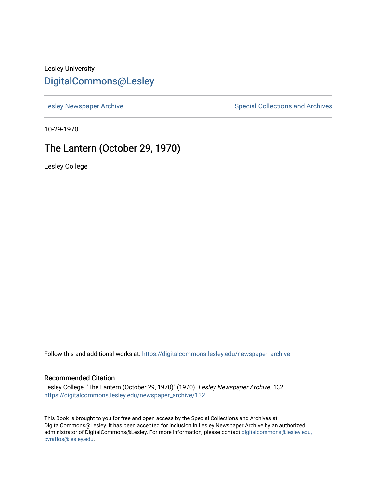## Lesley University [DigitalCommons@Lesley](https://digitalcommons.lesley.edu/)

[Lesley Newspaper Archive](https://digitalcommons.lesley.edu/newspaper_archive) **Special Collections and Archives** Special Collections and Archives

10-29-1970

# The Lantern (October 29, 1970)

Lesley College

Follow this and additional works at: [https://digitalcommons.lesley.edu/newspaper\\_archive](https://digitalcommons.lesley.edu/newspaper_archive?utm_source=digitalcommons.lesley.edu%2Fnewspaper_archive%2F132&utm_medium=PDF&utm_campaign=PDFCoverPages)

#### Recommended Citation

Lesley College, "The Lantern (October 29, 1970)" (1970). Lesley Newspaper Archive. 132. [https://digitalcommons.lesley.edu/newspaper\\_archive/132](https://digitalcommons.lesley.edu/newspaper_archive/132?utm_source=digitalcommons.lesley.edu%2Fnewspaper_archive%2F132&utm_medium=PDF&utm_campaign=PDFCoverPages)

This Book is brought to you for free and open access by the Special Collections and Archives at DigitalCommons@Lesley. It has been accepted for inclusion in Lesley Newspaper Archive by an authorized administrator of DigitalCommons@Lesley. For more information, please contact [digitalcommons@lesley.edu,](mailto:digitalcommons@lesley.edu,%20cvrattos@lesley.edu)  [cvrattos@lesley.edu.](mailto:digitalcommons@lesley.edu,%20cvrattos@lesley.edu)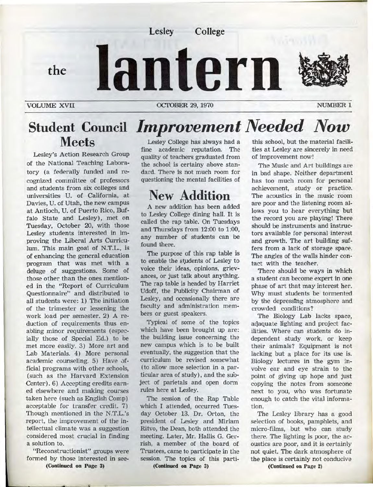

## **Student Council**  *Improve ment Needed Now*  **Meets**  Lesley College has always had a

Lesley's Action Research Group of the National Teaching Laboratory (a federally funded and recognized committee of professors and students from six colleges and universities U. of California, at Davies, U. of Utah, the new campus at Antioch, U. of Puerto Rico, Buffalo State and Lesley), met on Tuesday, October 20, with those Lesley students interested in improving the Liberal Arts Curriculum. This main goat of N.T.L., is of enhancing the general education program that was met with a deluge of suggestions. Some of those other than the ones mentioned in the "Report of Curriculum Questionnaire" and distributed to all students were: 1) The initiation of the trimester or lessening the work load per semester. 2) A reduction of requirements thus enabling minor requirements (especially those of Special Ed.) to be met more easily. 3) More art and Lab Materials. 4) More personal academic counseling. 5) Have official programs with other schools, (such as the Harvard Extension Center) . 6) Accepting credits earned elsewhere and making courses taken here (such as English Comp) acceptable for transfer credit. 7) Though mentioned in the N.T.L.'s report, the improvement of the intellectual climate was a suggestion considered most crucial in finding a solution to.

"Reconstructionist" groups were formed by those interested in see-**(Continued on Page 3)** 

fine academic reputation. The quality of teachers graduated from the school is certainy above standard. There is not much room for questioning the mental facilities of

# **New Addition**

A new addition has been added to Lesley College dining hall. It is called the rap table. On Tuesdays and Thursdays from 12:00 to 1:00, any number of students can be found there.

The purpose of this rap table is to enable the students of Lesley to voice their ideas, opinions, grievances, or just ta1k about anything. The rap table is headed by Harriet Udoff, the Publicity Chairman of Lesley, and occasionally there are faculty and administration members or guest speakers.

Typical of some of the topics which have been brought up are: the building issue concerning the new campus which is to be built eventually, the suggestion that the curriculum be revised somewhat ( to allow more selection in a particular area of study) , and the subject af parietals and open dorm rules here at Lesley.

The session of the Rap Table which I attended, occurred Tuesday October 13. Dr. Orton, the president of Lesley and Miriam Ritvo, the Dean, both attended the meeting. Later, Mr. Hallis G. Gerrish, a member of the board of Trustees, came to participate in the session. The topics of this parti-

**(Continued on Page 3)** 

this school, but the material facilities at Lesley are sincerely in need of improvement now!

The Music and Art buildings are in bad shape. Neither department has too much room for personal achievement, study or practice. The acoustics in the music room are poor and the listening room allows you to hear everything but the record you are playing! There should be instruments and instructors available for personal interest and growth. The art building suffers from a lack of storage space. The angles of the walls hinder contact with the teaoher.

There should be ways in which a student can become expert in one phase of art that may interest her. Why must students be tormented by the depresstng atmosphere and crowded conditions?

The Biology Lab lacks space, aqaquate lighting and project facilities. Where can students do independent study work, or keep their animals? Equipment is not lacking but a place for its use is. Biology lectures in the gym involve ear and eye strain to the point of giving up hope and just copying the notes from someone next to you, who was fortunate enough to catch the vital information.

The Lesley library has a good selection of books, pamphlets, and micro-films, but who can study there. The lighting is poor, the acoustics are poor, and it is certainly not quiet. The dark atmosphere of the place is certainly not conducive

**(Continued on Page 2)**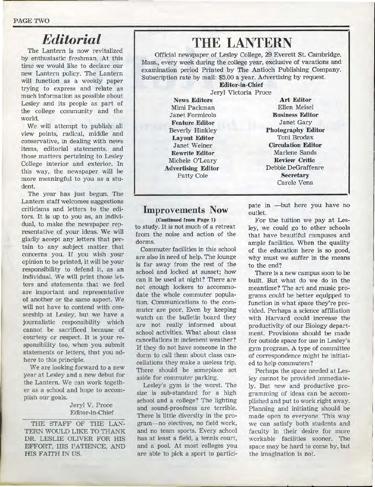#### PAGE TWO

# *Editorial*

The Lantern is now revitalized by enthusiastic freshman. At this time we would like to declare our new Lantern policy. The Lantern will function as a weekly paper trying to express and relate as much information as possible about Lesley and its people as part of the college community and the world.

We will attempt to publish all view points, radical, middle and conservative, **in** dealing with news items, editorial statements, and those matters pertaining to Lesley College interior and exterior. In this way, the newspaper **will** be more meaningful to you as a student.

The year has just begun. The Lantern staff welcomes suggestions criticisms and letters to the editors. It is up to you as, an individual, to make the newspaper representative of your ideas. We will gladly accept any letters that pertain to any subject matter that concerns you. If you wish your opinion to be printed, it will be your responsibility to defend it, as an individual. We will print those letters and statements that we feel are important and representative of another or the same aspect. We will not have to contend with censorship at Lesley, but we have a journalistic responsibility which cannot be sacrificed because of courtesy or respect. It is your responsibility too, when you submit statements or letters, that you adhere to this principle.

We are looking forward to a new year at Lesley and a new debut for the Lantern. We can work together as a school and hope to accomplish our goals.

#### Jeryl V. Proce Editor-in-Chief

THE STAFF OF THE LAN-TERN WOULD LIKE TO THANK DR. LESLIE OLIVER FOR HIS EFFORT, HIS PATIENCE, AND HIS FAITH IN US.

# **THE LANTERN**

Official newspaper of Lesley College, 29 Everett St. Cambridge, Mass., every week during the college year, exclusive of vacations and examination period Printed by The Antioch Publishing Company. Subscription rate by mail: \$5.00 a year. Advertising by request.

**Editor-in-Chief**  Jeryl Victoria Proce

**News Editors Art Editor**  Mimi Packman Janet Formicola **Feature Editor**  Beverly Hinkley **Layout Editor**  Janet Weiner **Rewrite Editor**  Michele O'Leary **Advertising Editor**  Patty Cole

Ellen Meisel **Business Editor**  Janet Gary **Photography Editor**  Toni Brodax **Circulation Editor**  Marlene Sands **Review Critic**  Debbie DeGraffenre **Secretary**  Carole Vena

### **Improvements Now**

**(Continued from Page 1)**  to study. It is not much of a retreat from the noise and action of the dorms.

Commuter facilities in this school are a1so in need of help. The lounge is far away from the rest of the school and locked at sunset; how can it be used at night? There are not enough lockers to accommodate the whole commuter population. Communications to the commuter are poor. Even by keeping watch on the bulletin board they are not really informed about school activities. What about class canceHations in inclement weather? If they do not have someone in the dorm to call them about class cancellations they make a useless trip. There should be someplace set aside for commuter parking.

Lesley's gym is the worst. The size is sub-standard for a high school and a college? The lighting and sound-proofness are terrible. There is little diversity in the program-no electives, no field work, and no team sports. Every school has at least a field, a tennis court, and a pool. At most colleges you are able to pick a sport to participate in -but here you have no outlet.

For the tuition we pay at Lesley, we could go to other schools that have beautiful campuses and ample facilities. When the quality of the education here is so good, why must we suffer in the means to the end?

There is a new campus soon to be built. But what do we do in the meantime? The art and music programs could be better equipped to function in what space they're provided. Perhaps a science affiliation with Harvard could increase the productivity of our Biology department. Provisions should be made for outside space for use in Lesley's gym program. A type of committee of correspondence might be initiated to help commuters?

Perhaps the space needed at Lesley cannot be provided immediately. But new and productive programming of ideas can be accomplished and put to work right away. Planning and initiating should be made open to everyone. This way we can satisfy both students and faculty in their desire for more workable facilities sooner. The space may be hard to come by, but the imagination is not.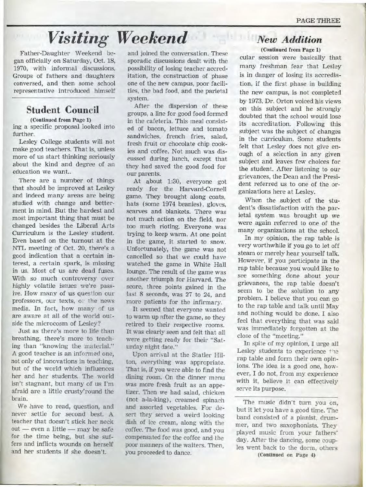# *Visiting Weekend*

Father-Daughter Weekend began officially on Saturday, Oct. 18, 1970, with informal discussions. Groups of fathers and daughters conversed, and then some school representative introduced himself

## **Student Council**

**(Continued from Page 1)**  ing a specific proposal looked into further.

Lesley College students will not make good teachers. That is, unless more of us start thinking seriously about the kind and degree of an education we want...

There are a number of things that should be improved at Lesley and indeed many areas are being studied with change and betterment in mind. But the hardest and most important thing that must be changed besides the Liberal Arts Curriculum is the Lesley student. Even based on the turnout at the NTL meeting of Oct. 20, there's a good indication that a certain interest, a certain spark, is missing in us. Most of us are dead fuses. With so much controversy over highly volatile issues we're passive. How many of us question our professors, our texts, or the news media . In fact, how many of us are aware at all of the world outside the microcosm of Lesley?

Just as there's more to life than breathing, there's more to teaching than "knowing the material." A good teacher is an informed one, not only of innovations in teaching, but of the world which influences her and her students. The world isn't stagnant, but many of us I'm afraid are a little crusty'round the brain.

We have to read, question, and never settle for second best. A teacher that doesn't stick her neck  $out$  - even a little - may be safe for the time being, but she suffers and inflicts wounds on herself and her students if she doesn't.

and joined the conversation. These sporadic discussions dealt with the possibility of losing teacher accred itation, the construction of phase one of the new campus, poor facilities, the bad food, and the parietal system .

After the dispersion of these groups, a line for good food formed in the cafeteria. This meal consisted of bacon, lettuce and tomato sandwiches, french fries, salad, fresh fruit or chocolate chip cookies and coffee. Not much was discussed during lunch, except that they had saved the good food for our parents.

At about 1:30, everyone got ready for the Harvard-Cornell game. They brought along coats, hats (some 1974 beanies), gloves, scarves and blankets. There was not much action on the field, nor too much rioting. Everyone was trying to keep warm. At one point in the game, it started to snow. Unforitunately, the game was not cancelled so that we could have watched the game in White Hall lounge. The result of the game was another triumph for Harvard. The score, three points gained in the last 8 seconds, was 27 to 24, and more patients for the infirmary.

It seemed that everyone wanted to warm up after the game, so they retired to their respective rooms. It was clearly seen and felt that all were getting ready for their "Saturday night date."

Upon arrival at the Statler Hilton, everything was appropriate. That is, if you were able to find the dining room. On the dinner menu was more fresh fruit as an appetizer. Then we had salad, chicken (not a-la-king), creamed spinach and assorted vegetables. For desert they served a weird looking dish of ice cream, along with the coffee. The food was good, and you compensated for the coffee and the poor manners of the waiters. Then, you proceeded to dance.

## *New Addition* **(Continued from Page 1)**

cular session were basically that many freshman fear that Lesley is in danger of losing its accredia tion, if the first phase in building the new campus, is not completed by 1973 . Dr. Orton voiced his views on this subject and he strongly doubted that the school would lose its accreditation. Following this subject was the subject of changes in the curriculum. Some students felt that Lesley does not give enough of a selection in any given subject and leaves few choices for the student. After listening to our grievances, the Dean and the President referred us to one of the organizations here at Lesley.

When the subject of the student's dissatisfaction with the parietal system was brought up we were again referred to one of the many organizations at the school.

In my opinion, the rap table is very worthwhile if you go to let off steam or merely hear yourself talk. However, if you participate in the rap table because you would like to see something done about your grievances, the rap table doesn't seem to be the solution to any problem. I believe that you can go to the rap table and talk until May and nothing would be done. I also feel that everything that was said was immediately forgotten at the close of the "meeting."

In spite of my opinion, I urge all Lesley students to experience the rap table and form their own opinions. The idea is a good one, however, I do not, from my experience with it, believe it can effectively serve its purpose.

The music didn't turn you on, but it let you have a good time. The band consisted of a pianist, drummer, and two saxophonists. They played music from your fathers' day. After the dancing, some couples went back to the dorm, others **(Continued on Page 4)**